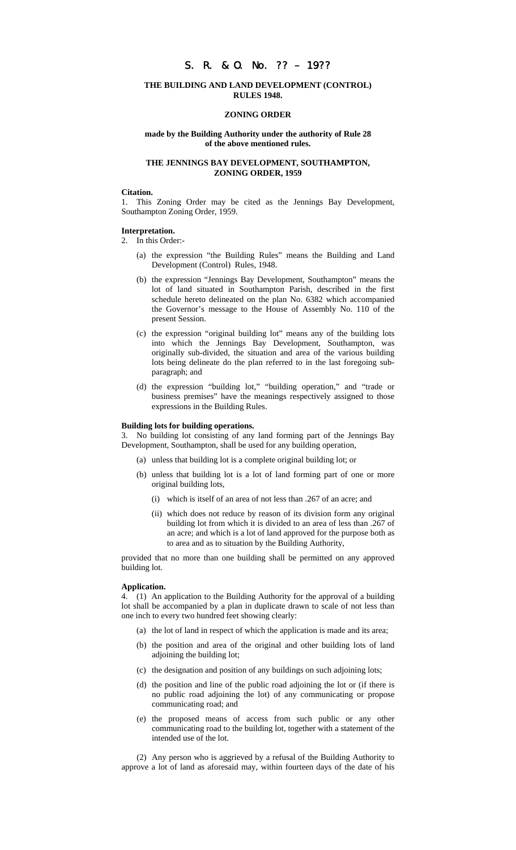# S. R. & O. No. ?? – 19??

### **THE BUILDING AND LAND DEVELOPMENT (CONTROL) RULES 1948.**

#### **ZONING ORDER**

### **made by the Building Authority under the authority of Rule 28 of the above mentioned rules.**

## **THE JENNINGS BAY DEVELOPMENT, SOUTHAMPTON, ZONING ORDER, 1959**

#### **Citation.**

1. This Zoning Order may be cited as the Jennings Bay Development, Southampton Zoning Order, 1959.

#### **Interpretation.**

2. In this Order:-

- (a) the expression "the Building Rules" means the Building and Land Development (Control) Rules, 1948.
- (b) the expression "Jennings Bay Development, Southampton" means the lot of land situated in Southampton Parish, described in the first schedule hereto delineated on the plan No. 6382 which accompanied the Governor's message to the House of Assembly No. 110 of the present Session.
- (c) the expression "original building lot" means any of the building lots into which the Jennings Bay Development, Southampton, was originally sub-divided, the situation and area of the various building lots being delineate do the plan referred to in the last foregoing subparagraph; and
- (d) the expression "building lot," "building operation," and "trade or business premises" have the meanings respectively assigned to those expressions in the Building Rules.

#### **Building lots for building operations.**

3. No building lot consisting of any land forming part of the Jennings Bay Development, Southampton, shall be used for any building operation,

- (a) unless that building lot is a complete original building lot; or
- (b) unless that building lot is a lot of land forming part of one or more original building lots,
	- (i) which is itself of an area of not less than .267 of an acre; and
	- (ii) which does not reduce by reason of its division form any original building lot from which it is divided to an area of less than .267 of an acre; and which is a lot of land approved for the purpose both as to area and as to situation by the Building Authority,

provided that no more than one building shall be permitted on any approved building lot.

#### **Application.**

4. (1) An application to the Building Authority for the approval of a building lot shall be accompanied by a plan in duplicate drawn to scale of not less than one inch to every two hundred feet showing clearly:

- (a) the lot of land in respect of which the application is made and its area;
- (b) the position and area of the original and other building lots of land adjoining the building lot;
- (c) the designation and position of any buildings on such adjoining lots;
- (d) the position and line of the public road adjoining the lot or (if there is no public road adjoining the lot) of any communicating or propose communicating road; and
- (e) the proposed means of access from such public or any other communicating road to the building lot, together with a statement of the intended use of the lot.

(2) Any person who is aggrieved by a refusal of the Building Authority to approve a lot of land as aforesaid may, within fourteen days of the date of his